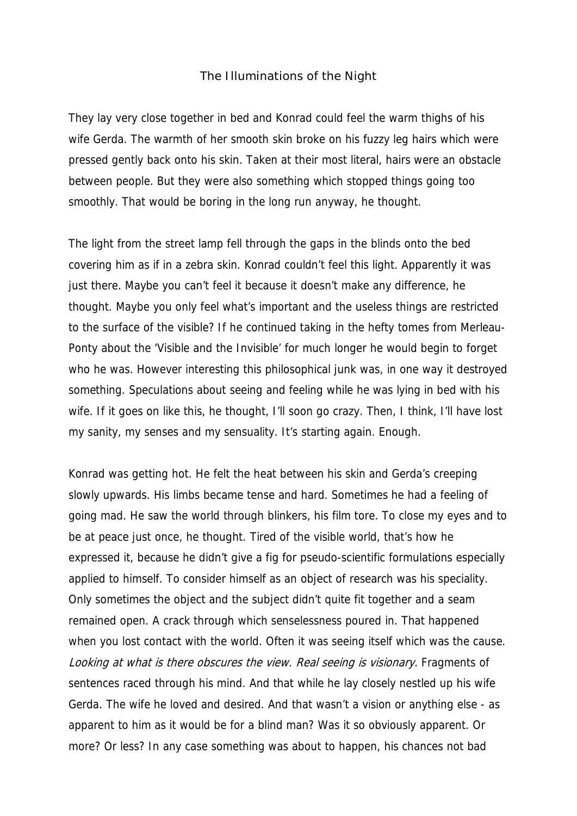## The Illuminations of the Night

They lay very close together in bed and Konrad could feel the warm thighs of his wife Gerda. The warmth of her smooth skin broke on his fuzzy leg hairs which were pressed gently back onto his skin. Taken at their most literal, hairs were an obstacle between people. But they were also something which stopped things going too smoothly. That would be boring in the long run anyway, he thought.

The light from the street lamp fell through the gaps in the blinds onto the bed covering him as if in a zebra skin. Konrad couldn't feel this light. Apparently it was just there. Maybe you can't feel it because it doesn't make any difference, he thought. Maybe you only feel what's important and the useless things are restricted to the surface of the visible? If he continued taking in the hefty tomes from Merleau-Ponty about the 'Visible and the Invisible' for much longer he would begin to forget who he was. However interesting this philosophical junk was, in one way it destroyed something. Speculations about seeing and feeling while he was lying in bed with his wife. If it goes on like this, he thought, I'll soon go crazy. Then, I think, I'll have lost my sanity, my senses and my sensuality. It's starting again. Enough.

Konrad was getting hot. He felt the heat between his skin and Gerda's creeping slowly upwards. His limbs became tense and hard. Sometimes he had a feeling of going mad. He saw the world through blinkers, his film tore. To close my eyes and to be at peace just once, he thought. Tired of the visible world, that's how he expressed it, because he didn't give a fig for pseudo-scientific formulations especially applied to himself. To consider himself as an object of research was his speciality. Only sometimes the object and the subject didn't quite fit together and a seam remained open. A crack through which senselessness poured in. That happened when you lost contact with the world. Often it was seeing itself which was the cause. Looking at what is there obscures the view. Real seeing is visionary. Fragments of sentences raced through his mind. And that while he lay closely nestled up his wife Gerda. The wife he loved and desired. And that wasn't a vision or anything else - as apparent to him as it would be for a blind man? Was it so obviously apparent. Or more? Or less? In any case something was about to happen, his chances not bad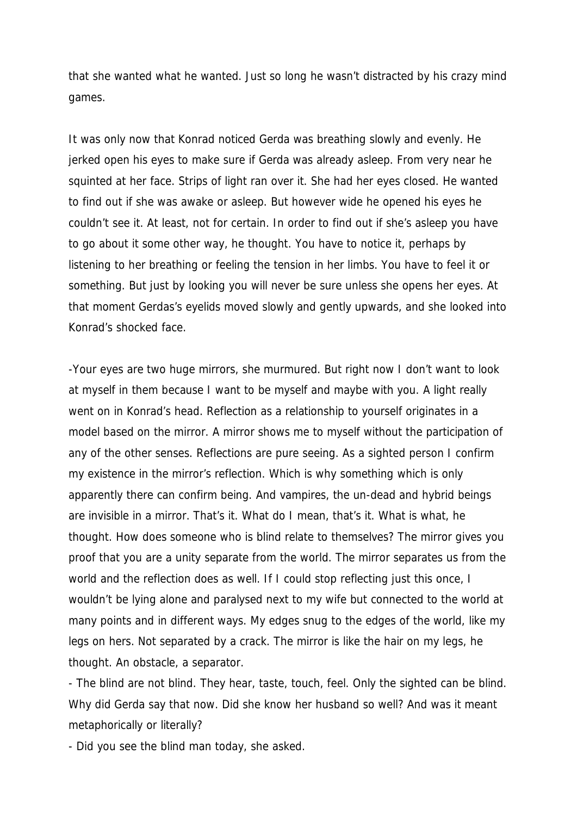that she wanted what he wanted. Just so long he wasn't distracted by his crazy mind games.

It was only now that Konrad noticed Gerda was breathing slowly and evenly. He jerked open his eyes to make sure if Gerda was already asleep. From very near he squinted at her face. Strips of light ran over it. She had her eyes closed. He wanted to find out if she was awake or asleep. But however wide he opened his eyes he couldn't see it. At least, not for certain. In order to find out if she's asleep you have to go about it some other way, he thought. You have to notice it, perhaps by listening to her breathing or feeling the tension in her limbs. You have to feel it or something. But just by looking you will never be sure unless she opens her eyes. At that moment Gerdas's eyelids moved slowly and gently upwards, and she looked into Konrad's shocked face.

-Your eyes are two huge mirrors, she murmured. But right now I don't want to look at myself in them because I want to be myself and maybe with you. A light really went on in Konrad's head. Reflection as a relationship to yourself originates in a model based on the mirror. A mirror shows me to myself without the participation of any of the other senses. Reflections are pure seeing. As a sighted person I confirm my existence in the mirror's reflection. Which is why something which is only apparently there can confirm being. And vampires, the un-dead and hybrid beings are invisible in a mirror. That's it. What do I mean, that's it. What is what, he thought. How does someone who is blind relate to themselves? The mirror gives you proof that you are a unity separate from the world. The mirror separates us from the world and the reflection does as well. If I could stop reflecting just this once, I wouldn't be lying alone and paralysed next to my wife but connected to the world at many points and in different ways. My edges snug to the edges of the world, like my legs on hers. Not separated by a crack. The mirror is like the hair on my legs, he thought. An obstacle, a separator.

- The blind are not blind. They hear, taste, touch, feel. Only the sighted can be blind. Why did Gerda say that now. Did she know her husband so well? And was it meant metaphorically or literally?

- Did you see the blind man today, she asked.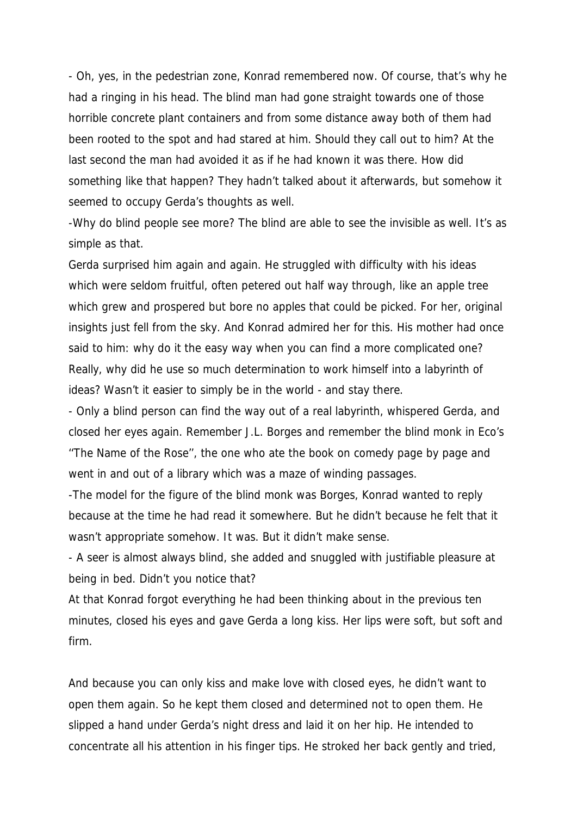- Oh, yes, in the pedestrian zone, Konrad remembered now. Of course, that's why he had a ringing in his head. The blind man had gone straight towards one of those horrible concrete plant containers and from some distance away both of them had been rooted to the spot and had stared at him. Should they call out to him? At the last second the man had avoided it as if he had known it was there. How did something like that happen? They hadn't talked about it afterwards, but somehow it seemed to occupy Gerda's thoughts as well.

-Why do blind people see more? The blind are able to see the invisible as well. It's as simple as that.

Gerda surprised him again and again. He struggled with difficulty with his ideas which were seldom fruitful, often petered out half way through, like an apple tree which grew and prospered but bore no apples that could be picked. For her, original insights just fell from the sky. And Konrad admired her for this. His mother had once said to him: why do it the easy way when you can find a more complicated one? Really, why did he use so much determination to work himself into a labyrinth of ideas? Wasn't it easier to simply be in the world - and stay there.

- Only a blind person can find the way out of a real labyrinth, whispered Gerda, and closed her eyes again. Remember J.L. Borges and remember the blind monk in Eco's ''The Name of the Rose'', the one who ate the book on comedy page by page and went in and out of a library which was a maze of winding passages.

-The model for the figure of the blind monk was Borges, Konrad wanted to reply because at the time he had read it somewhere. But he didn't because he felt that it wasn't appropriate somehow. It was. But it didn't make sense.

- A seer is almost always blind, she added and snuggled with justifiable pleasure at being in bed. Didn't you notice that?

At that Konrad forgot everything he had been thinking about in the previous ten minutes, closed his eyes and gave Gerda a long kiss. Her lips were soft, but soft and firm.

And because you can only kiss and make love with closed eyes, he didn't want to open them again. So he kept them closed and determined not to open them. He slipped a hand under Gerda's night dress and laid it on her hip. He intended to concentrate all his attention in his finger tips. He stroked her back gently and tried,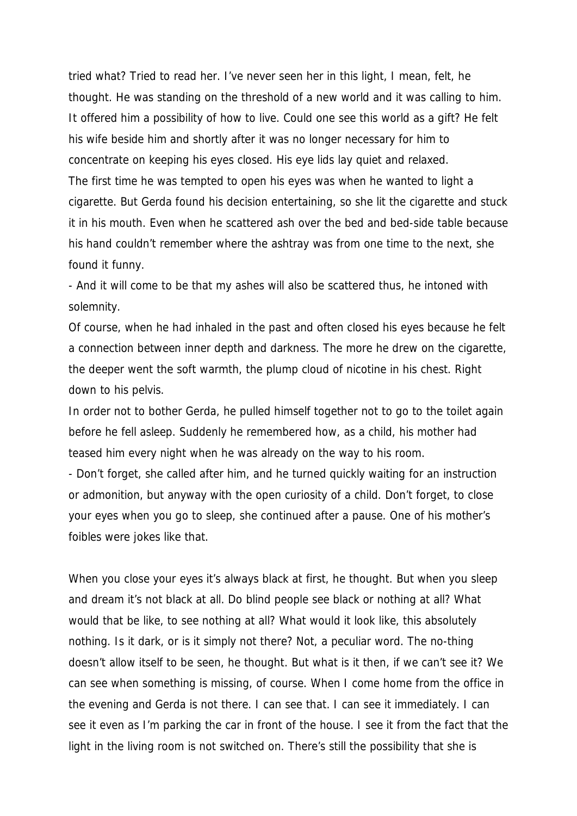tried what? Tried to read her. I've never seen her in this light, I mean, felt, he thought. He was standing on the threshold of a new world and it was calling to him. It offered him a possibility of how to live. Could one see this world as a gift? He felt his wife beside him and shortly after it was no longer necessary for him to concentrate on keeping his eyes closed. His eye lids lay quiet and relaxed. The first time he was tempted to open his eyes was when he wanted to light a cigarette. But Gerda found his decision entertaining, so she lit the cigarette and stuck it in his mouth. Even when he scattered ash over the bed and bed-side table because his hand couldn't remember where the ashtray was from one time to the next, she found it funny.

- And it will come to be that my ashes will also be scattered thus, he intoned with solemnity.

Of course, when he had inhaled in the past and often closed his eyes because he felt a connection between inner depth and darkness. The more he drew on the cigarette, the deeper went the soft warmth, the plump cloud of nicotine in his chest. Right down to his pelvis.

In order not to bother Gerda, he pulled himself together not to go to the toilet again before he fell asleep. Suddenly he remembered how, as a child, his mother had teased him every night when he was already on the way to his room.

- Don't forget, she called after him, and he turned quickly waiting for an instruction or admonition, but anyway with the open curiosity of a child. Don't forget, to close your eyes when you go to sleep, she continued after a pause. One of his mother's foibles were jokes like that.

When you close your eyes it's always black at first, he thought. But when you sleep and dream it's not black at all. Do blind people see black or nothing at all? What would that be like, to see nothing at all? What would it look like, this absolutely nothing. Is it dark, or is it simply not there? Not, a peculiar word. The no-thing doesn't allow itself to be seen, he thought. But what is it then, if we can't see it? We can see when something is missing, of course. When I come home from the office in the evening and Gerda is not there. I can see that. I can see it immediately. I can see it even as I'm parking the car in front of the house. I see it from the fact that the light in the living room is not switched on. There's still the possibility that she is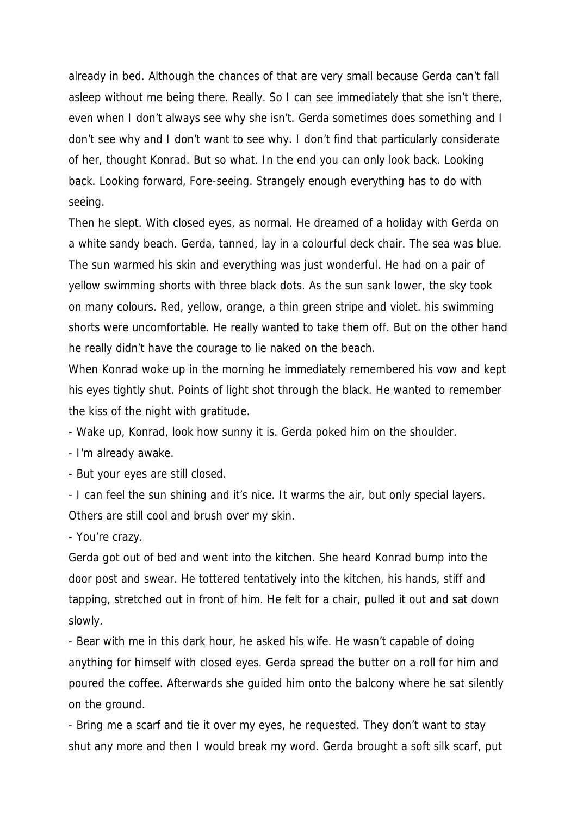already in bed. Although the chances of that are very small because Gerda can't fall asleep without me being there. Really. So I can see immediately that she isn't there, even when I don't always see why she isn't. Gerda sometimes does something and I don't see why and I don't want to see why. I don't find that particularly considerate of her, thought Konrad. But so what. In the end you can only look back. Looking back. Looking forward, Fore-seeing. Strangely enough everything has to do with seeing.

Then he slept. With closed eyes, as normal. He dreamed of a holiday with Gerda on a white sandy beach. Gerda, tanned, lay in a colourful deck chair. The sea was blue. The sun warmed his skin and everything was just wonderful. He had on a pair of yellow swimming shorts with three black dots. As the sun sank lower, the sky took on many colours. Red, yellow, orange, a thin green stripe and violet. his swimming shorts were uncomfortable. He really wanted to take them off. But on the other hand he really didn't have the courage to lie naked on the beach.

When Konrad woke up in the morning he immediately remembered his vow and kept his eyes tightly shut. Points of light shot through the black. He wanted to remember the kiss of the night with gratitude.

- Wake up, Konrad, look how sunny it is. Gerda poked him on the shoulder.

- I'm already awake.

- But your eyes are still closed.

- I can feel the sun shining and it's nice. It warms the air, but only special layers. Others are still cool and brush over my skin.

- You're crazy.

Gerda got out of bed and went into the kitchen. She heard Konrad bump into the door post and swear. He tottered tentatively into the kitchen, his hands, stiff and tapping, stretched out in front of him. He felt for a chair, pulled it out and sat down slowly.

- Bear with me in this dark hour, he asked his wife. He wasn't capable of doing anything for himself with closed eyes. Gerda spread the butter on a roll for him and poured the coffee. Afterwards she guided him onto the balcony where he sat silently on the ground.

- Bring me a scarf and tie it over my eyes, he requested. They don't want to stay shut any more and then I would break my word. Gerda brought a soft silk scarf, put